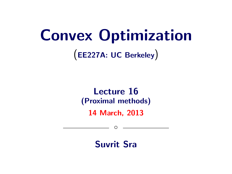# Convex Optimization

(EE227A: UC Berkeley)

# Lecture 16 (Proximal methods)

14 March, 2013

 $\circ$ 

Suvrit Sra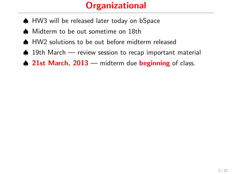# **Organizational**

- ♠ HW3 will be released later today on bSpace
- ♠ Midterm to be out sometime on 18th
- ♠ HW2 solutions to be out before midterm released
- ♠ 19th March review session to recap important material
- $\triangle$  21st March, 2013 midterm due beginning of class.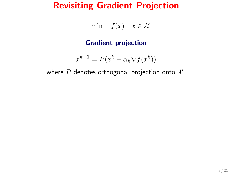# Revisiting Gradient Projection

| mın | f(x) | X |
|-----|------|---|
|-----|------|---|

#### Gradient projection

$$
x^{k+1} = P(x^k - \alpha_k \nabla f(x^k))
$$

where  $P$  denotes orthogonal projection onto  $X$ .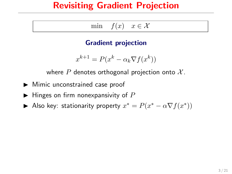# Revisiting Gradient Projection

| mın | f(x) | $\in \mathcal{X}$ |
|-----|------|-------------------|
|-----|------|-------------------|

#### Gradient projection

$$
x^{k+1} = P(x^k - \alpha_k \nabla f(x^k))
$$

where P denotes orthogonal projection onto  $\mathcal{X}$ .

- $\blacktriangleright$  Mimic unconstrained case proof
- $\blacktriangleright$  Hinges on firm nonexpansivity of P

Also key: stationarity property  $x^* = P(x^* - \alpha \nabla f(x^*))$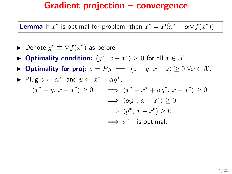**Lemma** If  $x^*$  is optimal for problem, then  $x^* = P(x^* - \alpha \nabla f(x^*))$ 

- ► Denote  $g^* \equiv \nabla f(x^*)$  as before.
- ► Optimality condition:  $\langle g^*, x x^* \rangle \ge 0$  for all  $x \in \mathcal{X}$ .
- $\triangleright$  Optimality for proj:  $z = Py \implies \langle z y, x z \rangle \ge 0 \ \forall x \in \mathcal{X}$ .

► Plug 
$$
z \leftarrow x^*
$$
, and  $y \leftarrow x^* - \alpha g^*$ ,  
\n $\langle x^* - y, x - x^* \rangle \ge 0$   $\implies \langle x^* - x^* + \alpha g^*, x - x^* \rangle \ge 0$   
\n $\implies \langle \alpha g^*, x - x^* \rangle \ge 0$   
\n $\implies \langle g^*, x - x^* \rangle \ge 0$   
\n $\implies x^*$  is optimal.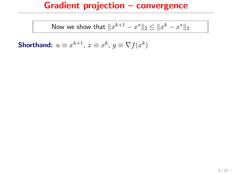Now we show that 
$$
||x^{k+1} - x^*||_2 \le ||x^k - x^*||_2
$$

Shorthand:  $u \equiv x^{k+1}$ ,  $x \equiv x^k$ ,  $g \equiv \nabla f(x^k)$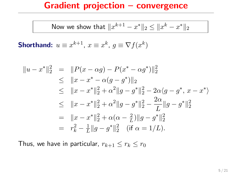Now we show that 
$$
||x^{k+1} - x^*||_2 \le ||x^k - x^*||_2
$$

Shorthand:  $u \equiv x^{k+1}$ ,  $x \equiv x^k$ ,  $g \equiv \nabla f(x^k)$ 

$$
||u - x^*||_2^2 = ||P(x - \alpha g) - P(x^* - \alpha g^*)||_2^2
$$
  
\n
$$
\leq ||x - x^* - \alpha (g - g^*)||_2
$$
  
\n
$$
\leq ||x - x^*||_2^2 + \alpha^2 ||g - g^*||_2^2 - 2\alpha \langle g - g^*, x - x^* \rangle
$$
  
\n
$$
\leq ||x - x^*||_2^2 + \alpha^2 ||g - g^*||_2^2 - \frac{2\alpha}{L} ||g - g^*||_2^2
$$
  
\n
$$
= ||x - x^*||_2^2 + \alpha (\alpha - \frac{2}{L}) ||g - g^*||_2^2
$$
  
\n
$$
= r_k^2 - \frac{1}{L} ||g - g^*||_2^2 \quad (\text{if } \alpha = 1/L).
$$

Thus, we have in particular,  $r_{k+1} \leq r_k \leq r_0$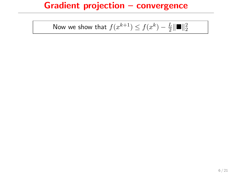Now we show that 
$$
f(x^{k+1}) \le f(x^k) - \frac{L}{2} \|\mathbf{m}\|_2^2
$$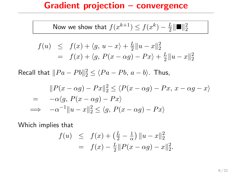Now we show that 
$$
f(x^{k+1}) \le f(x^k) - \frac{L}{2} \|\mathbf{m}\|_2^2
$$

$$
f(u) \leq f(x) + \langle g, u - x \rangle + \frac{L}{2} ||u - x||_2^2
$$
  
=  $f(x) + \langle g, P(x - \alpha g) - Px \rangle + \frac{L}{2} ||u - x||_2^2$ 

Recall that  $||Pa - Pb||_2^2 \le \langle Pa - Pb, a - b \rangle$ . Thus,

$$
||P(x - \alpha g) - Px||_2^2 \le \langle P(x - \alpha g) - Px, x - \alpha g - x \rangle
$$
  
=  $-\alpha \langle g, P(x - \alpha g) - Px \rangle$   
 $\implies -\alpha^{-1} ||u - x||_2^2 \le \langle g, P(x - \alpha g) - Px \rangle$ 

Which implies that

$$
f(u) \leq f(x) + \left(\frac{L}{2} - \frac{1}{\alpha}\right) \|u - x\|_2^2
$$
  
=  $f(x) - \frac{L}{2} \|P(x - \alpha g) - x\|_2^2$ .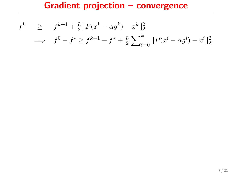$$
f^{k} \geq f^{k+1} + \frac{L}{2} ||P(x^{k} - \alpha g^{k}) - x^{k}||_{2}^{2}
$$
  
\n
$$
\implies f^{0} - f^{*} \geq f^{k+1} - f^{*} + \frac{L}{2} \sum_{i=0}^{k} ||P(x^{i} - \alpha g^{i}) - x^{i}||_{2}^{2}.
$$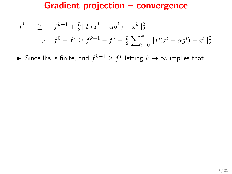$$
f^{k} \geq f^{k+1} + \frac{L}{2} ||P(x^{k} - \alpha g^{k}) - x^{k}||_{2}^{2}
$$
  
\n
$$
\implies f^{0} - f^{*} \geq f^{k+1} - f^{*} + \frac{L}{2} \sum_{i=0}^{k} ||P(x^{i} - \alpha g^{i}) - x^{i}||_{2}^{2}.
$$

▶ Since Ihs is finite, and  $f^{k+1} \geq f^*$  letting  $k \to \infty$  implies that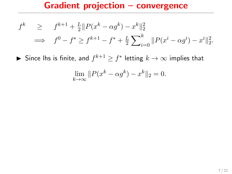$$
f^{k} \geq f^{k+1} + \frac{L}{2} ||P(x^{k} - \alpha g^{k}) - x^{k}||_{2}^{2}
$$
  
\n
$$
\implies f^{0} - f^{*} \geq f^{k+1} - f^{*} + \frac{L}{2} \sum_{i=0}^{k} ||P(x^{i} - \alpha g^{i}) - x^{i}||_{2}^{2}.
$$

▶ Since Ihs is finite, and  $f^{k+1} \geq f^*$  letting  $k \to \infty$  implies that

$$
\lim_{k \to \infty} ||P(x^k - \alpha g^k) - x^k||_2 = 0.
$$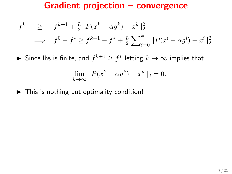$$
f^{k} \geq f^{k+1} + \frac{L}{2} ||P(x^{k} - \alpha g^{k}) - x^{k}||_{2}^{2}
$$
  
\n
$$
\implies f^{0} - f^{*} \geq f^{k+1} - f^{*} + \frac{L}{2} \sum_{i=0}^{k} ||P(x^{i} - \alpha g^{i}) - x^{i}||_{2}^{2}.
$$

▶ Since Ihs is finite, and  $f^{k+1} \geq f^*$  letting  $k \to \infty$  implies that

$$
\lim_{k \to \infty} ||P(x^k - \alpha g^k) - x^k||_2 = 0.
$$

 $\triangleright$  This is nothing but optimality condition!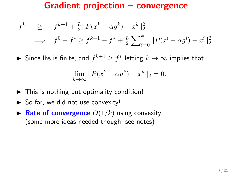$$
f^{k} \geq f^{k+1} + \frac{L}{2} ||P(x^{k} - \alpha g^{k}) - x^{k}||_{2}^{2}
$$
  
\n
$$
\implies f^{0} - f^{*} \geq f^{k+1} - f^{*} + \frac{L}{2} \sum_{i=0}^{k} ||P(x^{i} - \alpha g^{i}) - x^{i}||_{2}^{2}.
$$

▶ Since Ihs is finite, and  $f^{k+1} \geq f^*$  letting  $k \to \infty$  implies that

$$
\lim_{k \to \infty} ||P(x^k - \alpha g^k) - x^k||_2 = 0.
$$

- $\triangleright$  This is nothing but optimality condition!
- $\triangleright$  So far, we did not use convexity!
- **Rate of convergence**  $O(1/k)$  using convexity (some more ideas needed though; see notes)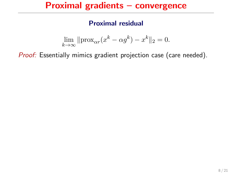## Proximal gradients – convergence

#### Proximal residual

$$
\lim_{k \to \infty} \|\text{prox}_{\alpha r}(x^k - \alpha g^k) - x^k\|_2 = 0.
$$

Proof: Essentially mimics gradient projection case (care needed).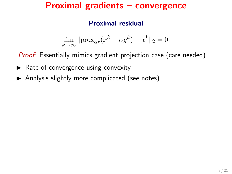## Proximal gradients – convergence

#### Proximal residual

$$
\lim_{k \to \infty} \|\text{prox}_{\alpha r}(x^k - \alpha g^k) - x^k\|_2 = 0.
$$

Proof: Essentially mimics gradient projection case (care needed).

- $\blacktriangleright$  Rate of convergence using convexity
- $\blacktriangleright$  Analysis slightly more complicated (see notes)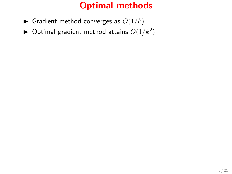- $\blacktriangleright$  Gradient method converges as  $O(1/k)$
- $\blacktriangleright$  Optimal gradient method attains  $O(1/k^2)$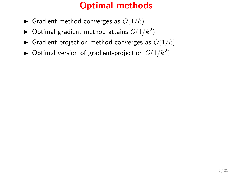- Gradient method converges as  $O(1/k)$
- $\blacktriangleright$  Optimal gradient method attains  $O(1/k^2)$
- $\blacktriangleright$  Gradient-projection method converges as  $O(1/k)$
- $\blacktriangleright$  Optimal version of gradient-projection  $O(1/k^2)$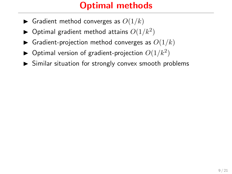- Gradient method converges as  $O(1/k)$
- $\blacktriangleright$  Optimal gradient method attains  $O(1/k^2)$
- $\triangleright$  Gradient-projection method converges as  $O(1/k)$
- $\blacktriangleright$  Optimal version of gradient-projection  $O(1/k^2)$
- $\triangleright$  Similar situation for strongly convex smooth problems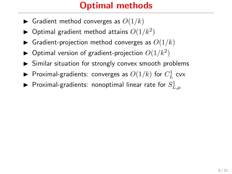- Gradient method converges as  $O(1/k)$
- $\blacktriangleright$  Optimal gradient method attains  $O(1/k^2)$
- $\triangleright$  Gradient-projection method converges as  $O(1/k)$
- $\blacktriangleright$  Optimal version of gradient-projection  $O(1/k^2)$
- $\triangleright$  Similar situation for strongly convex smooth problems
- $\blacktriangleright$  Proximal-gradients: converges as  $O(1/k)$  for  $C^1_L$  cvx
- $\blacktriangleright$  Proximal-gradients: nonoptimal linear rate for  $S^1_{L,\mu}$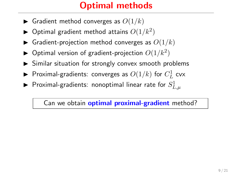- **In** Gradient method converges as  $O(1/k)$
- $\blacktriangleright$  Optimal gradient method attains  $O(1/k^2)$
- $\triangleright$  Gradient-projection method converges as  $O(1/k)$
- $\blacktriangleright$  Optimal version of gradient-projection  $O(1/k^2)$
- $\triangleright$  Similar situation for strongly convex smooth problems
- $\blacktriangleright$  Proximal-gradients: converges as  $O(1/k)$  for  $C^1_L$  cvx
- $\blacktriangleright$  Proximal-gradients: nonoptimal linear rate for  $S^1_{L,\mu}$

Can we obtain **optimal proximal-gradient** method?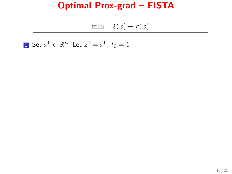|  | $\min \ell(x) + r(x)$ |  |
|--|-----------------------|--|
|--|-----------------------|--|

**1** Set  $x^0 \in \mathbb{R}^n$ ; Let  $z^0 = x^0$ ,  $t_0 = 1$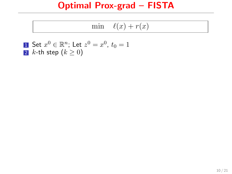|  | $\min \ell(x) + r(x)$ |  |
|--|-----------------------|--|
|--|-----------------------|--|

\n- **1** Set 
$$
x^0 \in \mathbb{R}^n
$$
; Let  $z^0 = x^0$ ,  $t_0 = 1$
\n- **2** *k*-th step  $(k \geq 0)$
\n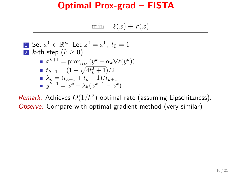|  | $\ell(x)$ +<br>m(n)<br>$\mathbf{r}$<br>--<br>v<br>∼ |  |
|--|-----------------------------------------------------|--|
|--|-----------------------------------------------------|--|

\n- **1** Set 
$$
x^0 \in \mathbb{R}^n
$$
; Let  $z^0 = x^0$ ,  $t_0 = 1$
\n- **2**  $k$ -th step  $(k \geq 0)$
\n- **a**  $x^{k+1} = \text{prox}_{\alpha_k r}(y^k - \alpha_k \nabla \ell(y^k))$
\n- **b**  $t_{k+1} = (1 + \sqrt{4t_k^2 + 1})/2$
\n- **c**  $\lambda_k = (t_{k+1} + t_k - 1)/t_{k+1}$
\n- **d**  $y^{k+1} = x^k + \lambda_k (x^{k+1} - x^k)$
\n

Remark: Achieves  $O(1/k^2)$  optimal rate (assuming Lipschitzness). Observe: Compare with optimal gradient method (very similar)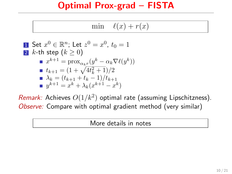| $\sim$<br>$\sim$<br>r<br>$m^{\circ}$<br>-<br>∼ |  |
|------------------------------------------------|--|
|------------------------------------------------|--|

\n- **1** Set 
$$
x^0 \in \mathbb{R}^n
$$
; Let  $z^0 = x^0$ ,  $t_0 = 1$
\n- **2** *k*-th step  $(k \geq 0)$
\n- **a**  $x^{k+1} = \text{prox}_{\alpha_k r}(y^k - \alpha_k \nabla \ell(y^k))$
\n- **b**  $t_{k+1} = (1 + \sqrt{4t_k^2 + 1})/2$
\n- **a**  $\lambda_k = (t_{k+1} + t_k - 1)/t_{k+1}$
\n- **b**  $y^{k+1} = x^k + \lambda_k (x^{k+1} - x^k)$
\n

Remark: Achieves  $O(1/k^2)$  optimal rate (assuming Lipschitzness). Observe: Compare with optimal gradient method (very similar)

More details in notes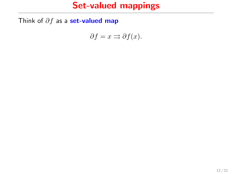# Set-valued mappings

Think of  $\partial f$  as a set-valued map

$$
\partial f = x \rightrightarrows \partial f(x).
$$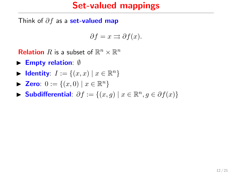# Set-valued mappings

Think of  $\partial f$  as a set-valued map

$$
\partial f = x \rightrightarrows \partial f(x).
$$

**Relation** R is a subset of  $\mathbb{R}^n \times \mathbb{R}^n$ 

- $\blacktriangleright$  Empty relation:  $\emptyset$
- $\blacktriangleright$  Identity:  $I := \{(x, x) \mid x \in \mathbb{R}^n\}$
- ► Zero:  $0 := \{(x, 0) | x \in \mathbb{R}^n\}$
- ► Subdifferential:  $\partial f := \{(x, g) \mid x \in \mathbb{R}^n, g \in \partial f(x)\}\$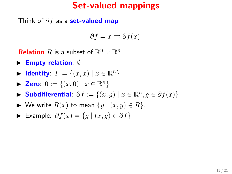# Set-valued mappings

Think of  $\partial f$  as a set-valued map

$$
\partial f = x \rightrightarrows \partial f(x).
$$

**Relation** R is a subset of  $\mathbb{R}^n \times \mathbb{R}^n$ 

- $\blacktriangleright$  Empty relation:  $\emptyset$
- $\blacktriangleright$  Identity:  $I := \{(x, x) \mid x \in \mathbb{R}^n\}$
- ► Zero:  $0 := \{(x, 0) | x \in \mathbb{R}^n\}$
- ► Subdifferential:  $\partial f := \{(x, g) \mid x \in \mathbb{R}^n, g \in \partial f(x)\}\$
- $\blacktriangleright$  We write  $R(x)$  to mean  $\{y \mid (x, y) \in R\}.$
- ► Example:  $\partial f(x) = \{g \mid (x, g) \in \partial f\}$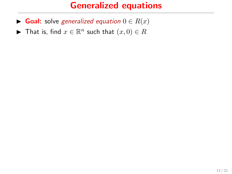# Generalized equations

- ► Goal: solve generalized equation  $0 \in R(x)$
- ► That is, find  $x \in \mathbb{R}^n$  such that  $(x, 0) \in R$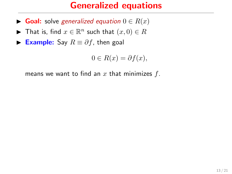# Generalized equations

- ► Goal: solve generalized equation  $0 \in R(x)$
- ► That is, find  $x \in \mathbb{R}^n$  such that  $(x, 0) \in R$
- **► Example:** Say  $R \equiv \partial f$ , then goal

$$
0 \in R(x) = \partial f(x),
$$

means we want to find an  $x$  that minimizes  $f$ .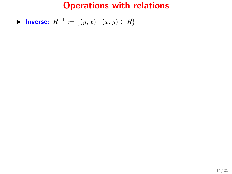**► Inverse:**  $R^{-1} := \{(y, x) | (x, y) \in R\}$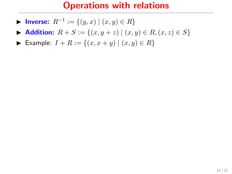- **► Inverse:**  $R^{-1} := \{(y, x) | (x, y) \in R\}$
- ▶ Addition:  $R + S := \{(x, y + z) | (x, y) \in R, (x, z) \in S\}$
- ► Example:  $I + R := \{(x, x + y) | (x, y) \in R\}$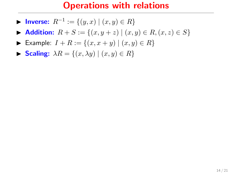- **► Inverse:**  $R^{-1} := \{(y, x) | (x, y) \in R\}$
- $\triangleright$  Addition:  $R + S := \{(x, y + z) \mid (x, y) \in R, (x, z) \in S\}$
- ► Example:  $I + R := \{(x, x + y) | (x, y) \in R\}$
- $\blacktriangleright$  Scaling:  $\lambda R = \{(x, \lambda y) \mid (x, y) \in R\}$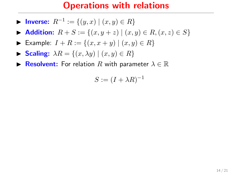- **► Inverse:**  $R^{-1} := \{(y, x) | (x, y) \in R\}$
- Addition:  $R + S := \{(x, y + z) | (x, y) \in R, (x, z) \in S\}$
- ► Example:  $I + R := \{(x, x + y) | (x, y) \in R\}$
- $\blacktriangleright$  Scaling:  $\lambda R = \{(x, \lambda y) \mid (x, y) \in R\}$
- **IF Resolvent:** For relation R with parameter  $\lambda \in \mathbb{R}$

$$
S := (I + \lambda R)^{-1}
$$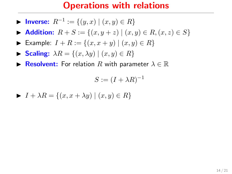- **► Inverse:**  $R^{-1} := \{(y, x) | (x, y) \in R\}$
- Addition:  $R + S := \{(x, y + z) | (x, y) \in R, (x, z) \in S\}$
- ► Example:  $I + R := \{(x, x + y) | (x, y) \in R\}$
- $\blacktriangleright$  Scaling:  $\lambda R = \{(x, \lambda y) \mid (x, y) \in R\}$
- **IF Resolvent:** For relation R with parameter  $\lambda \in \mathbb{R}$

$$
S := (I + \lambda R)^{-1}
$$

 $\blacktriangleright$   $I + \lambda R = \{(x, x + \lambda y) \mid (x, y) \in R\}$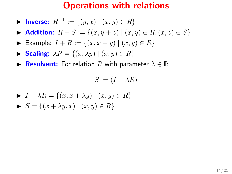- **► Inverse:**  $R^{-1} := \{(y, x) | (x, y) \in R\}$
- Addition:  $R + S := \{(x, y + z) | (x, y) \in R, (x, z) \in S\}$
- ► Example:  $I + R := \{(x, x + y) | (x, y) \in R\}$
- $\blacktriangleright$  Scaling:  $\lambda R = \{(x, \lambda y) \mid (x, y) \in R\}$
- **IF Resolvent:** For relation R with parameter  $\lambda \in \mathbb{R}$

$$
S := (I + \lambda R)^{-1}
$$

$$
\begin{aligned} \blacktriangleright \quad & I + \lambda R = \{ (x, x + \lambda y) \mid (x, y) \in R \} \\ \blacktriangleright \quad & S = \{ (x + \lambda y, x) \mid (x, y) \in R \} \end{aligned}
$$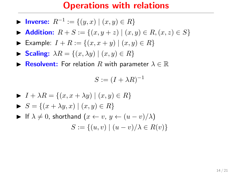- **► Inverse:**  $R^{-1} := \{(y, x) | (x, y) \in R\}$
- Addition:  $R + S := \{(x, y + z) | (x, y) \in R, (x, z) \in S\}$
- ► Example:  $I + R := \{(x, x + y) | (x, y) \in R\}$
- $\blacktriangleright$  Scaling:  $\lambda R = \{(x, \lambda y) \mid (x, y) \in R\}$
- **IF Resolvent:** For relation R with parameter  $\lambda \in \mathbb{R}$

$$
S := (I + \lambda R)^{-1}
$$

\n- \n
$$
I + \lambda R = \{(x, x + \lambda y) \mid (x, y) \in R\}
$$
\n
\n- \n $S = \{(x + \lambda y, x) \mid (x, y) \in R\}$ \n
\n- \n $|f \lambda \neq 0, \text{ shorthand } (x \leftarrow v, y \leftarrow (u - v) / \lambda)$ \n
\n- \n $S := \{(u, v) \mid (u - v) / \lambda \in R(v)\}$ \n
\n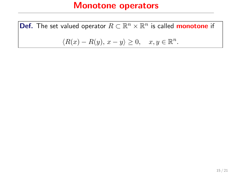**Def.** The set valued operator  $R \subset \mathbb{R}^n \times \mathbb{R}^n$  is called **monotone** if

$$
\langle R(x) - R(y), x - y \rangle \ge 0, \quad x, y \in \mathbb{R}^n.
$$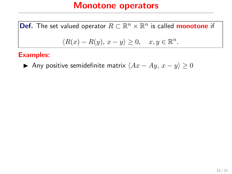**Def.** The set valued operator  $R \subset \mathbb{R}^n \times \mathbb{R}^n$  is called **monotone** if  $\langle R(x) - R(y), x - y \rangle \geq 0, \quad x, y \in \mathbb{R}^n.$ 

#### Examples:

Any positive semidefinite matrix  $\langle Ax - Ay, x - y \rangle \ge 0$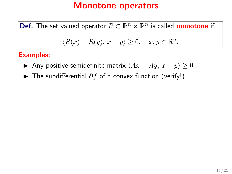**Def.** The set valued operator  $R \subset \mathbb{R}^n \times \mathbb{R}^n$  is called **monotone** if  $\langle R(x) - R(y), x - y \rangle \geq 0, \quad x, y \in \mathbb{R}^n.$ 

#### Examples:

- Any positive semidefinite matrix  $\langle Ax Ay, x y \rangle \ge 0$
- ► The subdifferential  $\partial f$  of a convex function (verify!)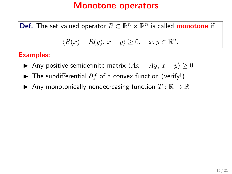**Def.** The set valued operator  $R \subset \mathbb{R}^n \times \mathbb{R}^n$  is called **monotone** if  $\langle R(x) - R(y), x - y \rangle \geq 0, \quad x, y \in \mathbb{R}^n.$ 

#### Examples:

- Any positive semidefinite matrix  $\langle Ax Ay, x y \rangle \ge 0$
- **►** The subdifferential  $\partial f$  of a convex function (verify!)
- Any monotonically nondecreasing function  $T : \mathbb{R} \to \mathbb{R}$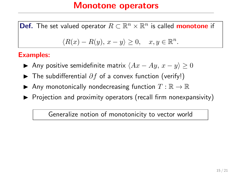**Def.** The set valued operator  $R \subset \mathbb{R}^n \times \mathbb{R}^n$  is called **monotone** if

$$
\langle R(x) - R(y), x - y \rangle \ge 0, \quad x, y \in \mathbb{R}^n.
$$

#### Examples:

- Any positive semidefinite matrix  $\langle Ax Ay, x y \rangle \ge 0$
- $\blacktriangleright$  The subdifferential  $\partial f$  of a convex function (verify!)
- Any monotonically nondecreasing function  $T : \mathbb{R} \to \mathbb{R}$
- $\triangleright$  Projection and proximity operators (recall firm nonexpansivity)

Generalize notion of monotonicity to vector world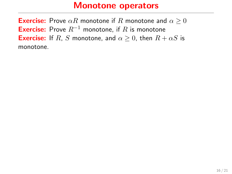**Exercise:** Prove  $\alpha R$  monotone if R monotone and  $\alpha > 0$ **Exercise:** Prove  $R^{-1}$  monotone, if R is monotone **Exercise:** If R, S monotone, and  $\alpha > 0$ , then  $R + \alpha S$  is monotone.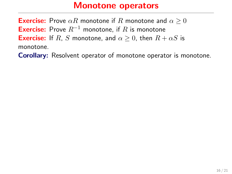**Exercise:** Prove  $\alpha R$  monotone if R monotone and  $\alpha \geq 0$ **Exercise:** Prove  $R^{-1}$  monotone, if R is monotone **Exercise:** If R, S monotone, and  $\alpha > 0$ , then  $R + \alpha S$  is monotone.

Corollary: Resolvent operator of monotone operator is monotone.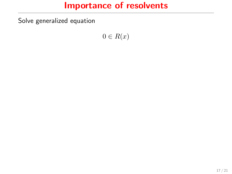Solve generalized equation

 $0 \in R(x)$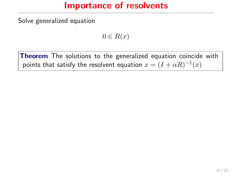Solve generalized equation

 $0 \in R(x)$ 

Theorem The solutions to the generalized equation coincide with points that satisfy the resolvent equation  $x=(I+\alpha R)^{-1}(x)$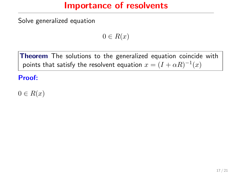Solve generalized equation

 $0 \in R(x)$ 

Theorem The solutions to the generalized equation coincide with points that satisfy the resolvent equation  $x=(I+\alpha R)^{-1}(x)$ 

#### Proof:

 $0 \in R(x)$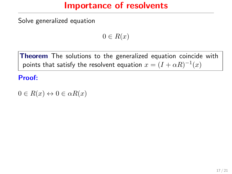Solve generalized equation

 $0 \in R(x)$ 

Theorem The solutions to the generalized equation coincide with points that satisfy the resolvent equation  $x=(I+\alpha R)^{-1}(x)$ 

#### Proof:

 $0 \in R(x) \leftrightarrow 0 \in \alpha R(x)$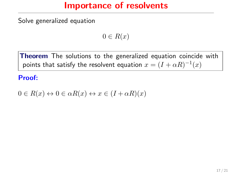Solve generalized equation

 $0 \in R(x)$ 

Theorem The solutions to the generalized equation coincide with points that satisfy the resolvent equation  $x=(I+\alpha R)^{-1}(x)$ 

#### Proof:

 $0 \in R(x) \leftrightarrow 0 \in \alpha R(x) \leftrightarrow x \in (I + \alpha R)(x)$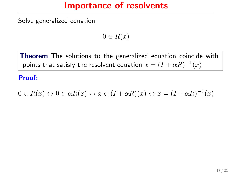Solve generalized equation

 $0 \in R(x)$ 

**Theorem** The solutions to the generalized equation coincide with points that satisfy the resolvent equation  $x=(I+\alpha R)^{-1}(x)$ 

#### Proof:

 $0 \in R(x) \leftrightarrow 0 \in \alpha R(x) \leftrightarrow x \in (I + \alpha R)(x) \leftrightarrow x = (I + \alpha R)^{-1}(x)$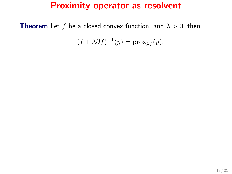**Theorem** Let f be a closed convex function, and  $\lambda > 0$ , then

$$
(I + \lambda \partial f)^{-1}(y) = \text{prox}_{\lambda f}(y).
$$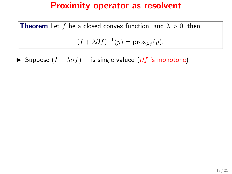**Theorem** Let f be a closed convex function, and  $\lambda > 0$ , then  $(I + \lambda \partial f)^{-1}(y) = \text{prox}_{\lambda f}(y).$ 

► Suppose  $(I + \lambda \partial f)^{-1}$  is single valued  $(\partial f$  is monotone)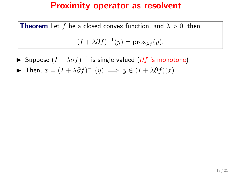- ► Suppose  $(I + \lambda \partial f)^{-1}$  is single valued  $(\partial f$  is monotone)
- $\blacktriangleright$  Then,  $x = (I + \lambda \partial f)^{-1}(y) \implies y \in (I + \lambda \partial f)(x)$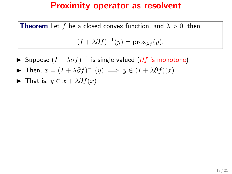- ► Suppose  $(I + \lambda \partial f)^{-1}$  is single valued  $(\partial f$  is monotone)
- $\blacktriangleright$  Then,  $x = (I + \lambda \partial f)^{-1}(y) \implies y \in (I + \lambda \partial f)(x)$
- $\blacktriangleright$  That is,  $y \in x + \lambda \partial f(x)$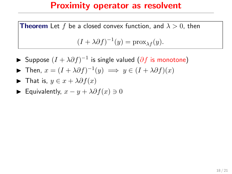- ► Suppose  $(I + \lambda \partial f)^{-1}$  is single valued  $(\partial f$  is monotone)
- $\blacktriangleright$  Then,  $x = (I + \lambda \partial f)^{-1}(y) \implies y \in (I + \lambda \partial f)(x)$
- $\blacktriangleright$  That is,  $y \in x + \lambda \partial f(x)$
- $\blacktriangleright$  Equivalently,  $x y + \lambda \partial f(x) \ni 0$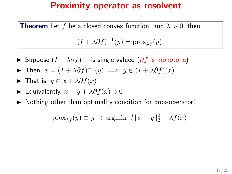- ► Suppose  $(I + \lambda \partial f)^{-1}$  is single valued  $(\partial f$  is monotone)
- $\blacktriangleright$  Then,  $x = (I + \lambda \partial f)^{-1}(y) \implies y \in (I + \lambda \partial f)(x)$

$$
\blacktriangleright \text{ That is, } y \in x + \lambda \partial f(x)
$$

- **►** Equivalently,  $x y + \lambda \partial f(x) \ni 0$
- $\triangleright$  Nothing other than optimality condition for prox-operator!

$$
\operatorname{prox}_{\lambda f}(y) \equiv y \mapsto \operatorname*{argmin}_{x} \frac{1}{2} ||x - y||_2^2 + \lambda f(x)
$$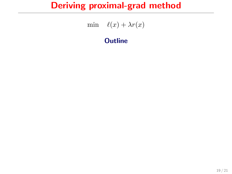min  $\ell(x) + \lambda r(x)$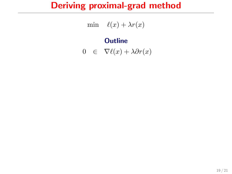min  $\ell(x) + \lambda r(x)$ 

$$
0 \in \nabla \ell(x) + \lambda \partial r(x)
$$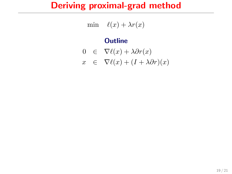min  $\ell(x) + \lambda r(x)$ 

$$
0 \in \nabla \ell(x) + \lambda \partial r(x)
$$

$$
x \in \nabla \ell(x) + (I + \lambda \partial r)(x)
$$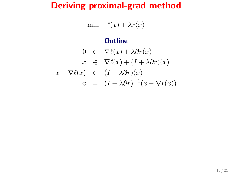$$
\min \quad \ell(x) + \lambda r(x)
$$

$$
0 \in \nabla \ell(x) + \lambda \partial r(x)
$$
  
\n
$$
x \in \nabla \ell(x) + (I + \lambda \partial r)(x)
$$
  
\n
$$
x - \nabla \ell(x) \in (I + \lambda \partial r)(x)
$$
  
\n
$$
x = (I + \lambda \partial r)^{-1}(x - \nabla \ell(x))
$$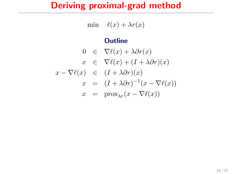$$
\min \quad \ell(x) + \lambda r(x)
$$

$$
0 \in \nabla \ell(x) + \lambda \partial r(x)
$$
  
\n
$$
x \in \nabla \ell(x) + (I + \lambda \partial r)(x)
$$
  
\n
$$
x - \nabla \ell(x) \in (I + \lambda \partial r)(x)
$$
  
\n
$$
x = (I + \lambda \partial r)^{-1}(x - \nabla \ell(x))
$$
  
\n
$$
x = \text{prox}_{\lambda r}(x - \nabla \ell(x))
$$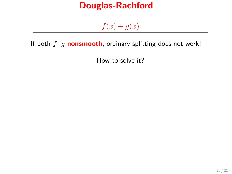## Douglas-Rachford

# $f(x) + g(x)$

If both  $f$ ,  $g$  nonsmooth, ordinary splitting does not work!

How to solve it?